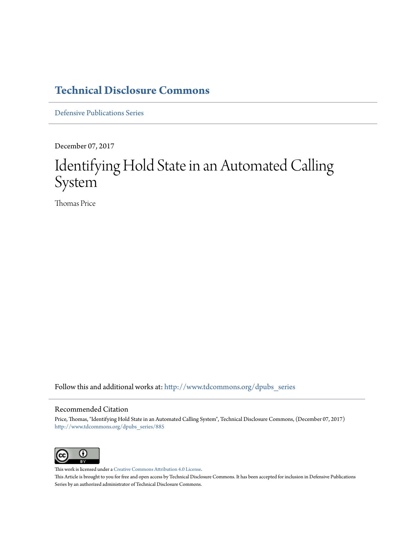### **[Technical Disclosure Commons](http://www.tdcommons.org?utm_source=www.tdcommons.org%2Fdpubs_series%2F885&utm_medium=PDF&utm_campaign=PDFCoverPages)**

[Defensive Publications Series](http://www.tdcommons.org/dpubs_series?utm_source=www.tdcommons.org%2Fdpubs_series%2F885&utm_medium=PDF&utm_campaign=PDFCoverPages)

December 07, 2017

## Identifying Hold State in an Automated Calling System

Thomas Price

Follow this and additional works at: [http://www.tdcommons.org/dpubs\\_series](http://www.tdcommons.org/dpubs_series?utm_source=www.tdcommons.org%2Fdpubs_series%2F885&utm_medium=PDF&utm_campaign=PDFCoverPages)

#### Recommended Citation

Price, Thomas, "Identifying Hold State in an Automated Calling System", Technical Disclosure Commons, (December 07, 2017) [http://www.tdcommons.org/dpubs\\_series/885](http://www.tdcommons.org/dpubs_series/885?utm_source=www.tdcommons.org%2Fdpubs_series%2F885&utm_medium=PDF&utm_campaign=PDFCoverPages)



This work is licensed under a [Creative Commons Attribution 4.0 License.](http://creativecommons.org/licenses/by/4.0/deed.en_US) This Article is brought to you for free and open access by Technical Disclosure Commons. It has been accepted for inclusion in Defensive Publications Series by an authorized administrator of Technical Disclosure Commons.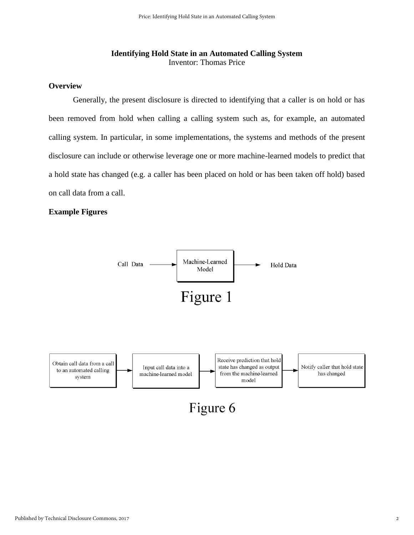#### **Identifying Hold State in an Automated Calling System**  Inventor: Thomas Price

#### **Overview**

Generally, the present disclosure is directed to identifying that a caller is on hold or has been removed from hold when calling a calling system such as, for example, an automated calling system. In particular, in some implementations, the systems and methods of the present disclosure can include or otherwise leverage one or more machine-learned models to predict that a hold state has changed (e.g. a caller has been placed on hold or has been taken off hold) based on call data from a call.

#### **Example Figures**

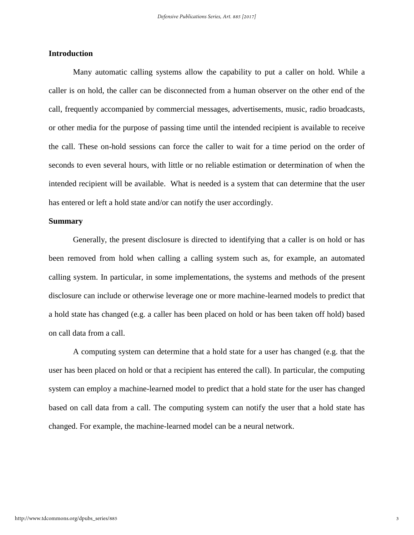#### **Introduction**

Many automatic calling systems allow the capability to put a caller on hold. While a caller is on hold, the caller can be disconnected from a human observer on the other end of the call, frequently accompanied by commercial messages, advertisements, music, radio broadcasts, or other media for the purpose of passing time until the intended recipient is available to receive the call. These on-hold sessions can force the caller to wait for a time period on the order of seconds to even several hours, with little or no reliable estimation or determination of when the intended recipient will be available. What is needed is a system that can determine that the user has entered or left a hold state and/or can notify the user accordingly.

#### **Summary**

Generally, the present disclosure is directed to identifying that a caller is on hold or has been removed from hold when calling a calling system such as, for example, an automated calling system. In particular, in some implementations, the systems and methods of the present disclosure can include or otherwise leverage one or more machine-learned models to predict that a hold state has changed (e.g. a caller has been placed on hold or has been taken off hold) based on call data from a call.

A computing system can determine that a hold state for a user has changed (e.g. that the user has been placed on hold or that a recipient has entered the call). In particular, the computing system can employ a machine-learned model to predict that a hold state for the user has changed based on call data from a call. The computing system can notify the user that a hold state has changed. For example, the machine-learned model can be a neural network.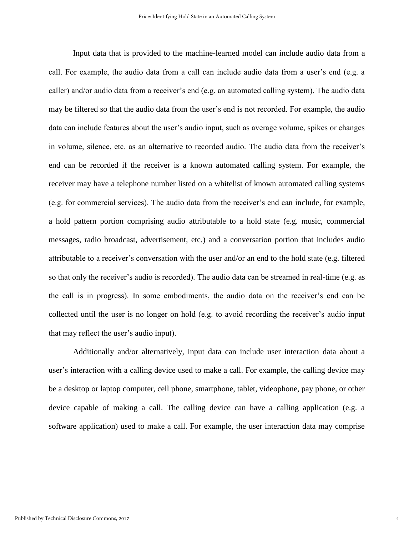Input data that is provided to the machine-learned model can include audio data from a call. For example, the audio data from a call can include audio data from a user's end (e.g. a caller) and/or audio data from a receiver's end (e.g. an automated calling system). The audio data may be filtered so that the audio data from the user's end is not recorded. For example, the audio data can include features about the user's audio input, such as average volume, spikes or changes in volume, silence, etc. as an alternative to recorded audio. The audio data from the receiver's end can be recorded if the receiver is a known automated calling system. For example, the receiver may have a telephone number listed on a whitelist of known automated calling systems (e.g. for commercial services). The audio data from the receiver's end can include, for example, a hold pattern portion comprising audio attributable to a hold state (e.g. music, commercial messages, radio broadcast, advertisement, etc.) and a conversation portion that includes audio attributable to a receiver's conversation with the user and/or an end to the hold state (e.g. filtered so that only the receiver's audio is recorded). The audio data can be streamed in real-time (e.g. as the call is in progress). In some embodiments, the audio data on the receiver's end can be collected until the user is no longer on hold (e.g. to avoid recording the receiver's audio input that may reflect the user's audio input).

Additionally and/or alternatively, input data can include user interaction data about a user's interaction with a calling device used to make a call. For example, the calling device may be a desktop or laptop computer, cell phone, smartphone, tablet, videophone, pay phone, or other device capable of making a call. The calling device can have a calling application (e.g. a software application) used to make a call. For example, the user interaction data may comprise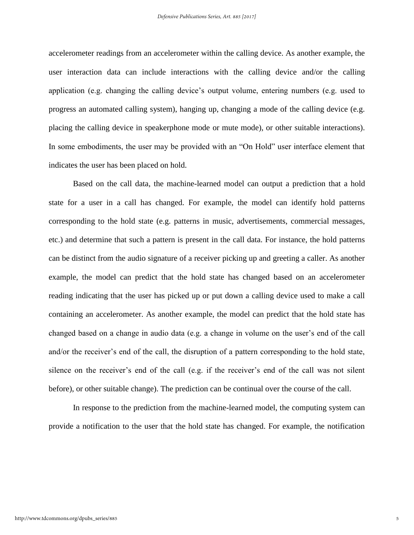accelerometer readings from an accelerometer within the calling device. As another example, the user interaction data can include interactions with the calling device and/or the calling application (e.g. changing the calling device's output volume, entering numbers (e.g. used to progress an automated calling system), hanging up, changing a mode of the calling device (e.g. placing the calling device in speakerphone mode or mute mode), or other suitable interactions). In some embodiments, the user may be provided with an "On Hold" user interface element that indicates the user has been placed on hold.

Based on the call data, the machine-learned model can output a prediction that a hold state for a user in a call has changed. For example, the model can identify hold patterns corresponding to the hold state (e.g. patterns in music, advertisements, commercial messages, etc.) and determine that such a pattern is present in the call data. For instance, the hold patterns can be distinct from the audio signature of a receiver picking up and greeting a caller. As another example, the model can predict that the hold state has changed based on an accelerometer reading indicating that the user has picked up or put down a calling device used to make a call containing an accelerometer. As another example, the model can predict that the hold state has changed based on a change in audio data (e.g. a change in volume on the user's end of the call and/or the receiver's end of the call, the disruption of a pattern corresponding to the hold state, silence on the receiver's end of the call (e.g. if the receiver's end of the call was not silent before), or other suitable change). The prediction can be continual over the course of the call.

In response to the prediction from the machine-learned model, the computing system can provide a notification to the user that the hold state has changed. For example, the notification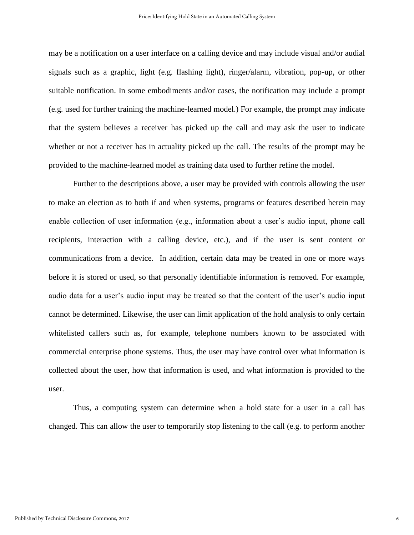may be a notification on a user interface on a calling device and may include visual and/or audial signals such as a graphic, light (e.g. flashing light), ringer/alarm, vibration, pop-up, or other suitable notification. In some embodiments and/or cases, the notification may include a prompt (e.g. used for further training the machine-learned model.) For example, the prompt may indicate that the system believes a receiver has picked up the call and may ask the user to indicate whether or not a receiver has in actuality picked up the call. The results of the prompt may be provided to the machine-learned model as training data used to further refine the model.

Further to the descriptions above, a user may be provided with controls allowing the user to make an election as to both if and when systems, programs or features described herein may enable collection of user information (e.g., information about a user's audio input, phone call recipients, interaction with a calling device, etc.), and if the user is sent content or communications from a device. In addition, certain data may be treated in one or more ways before it is stored or used, so that personally identifiable information is removed. For example, audio data for a user's audio input may be treated so that the content of the user's audio input cannot be determined. Likewise, the user can limit application of the hold analysis to only certain whitelisted callers such as, for example, telephone numbers known to be associated with commercial enterprise phone systems. Thus, the user may have control over what information is collected about the user, how that information is used, and what information is provided to the user.

Thus, a computing system can determine when a hold state for a user in a call has changed. This can allow the user to temporarily stop listening to the call (e.g. to perform another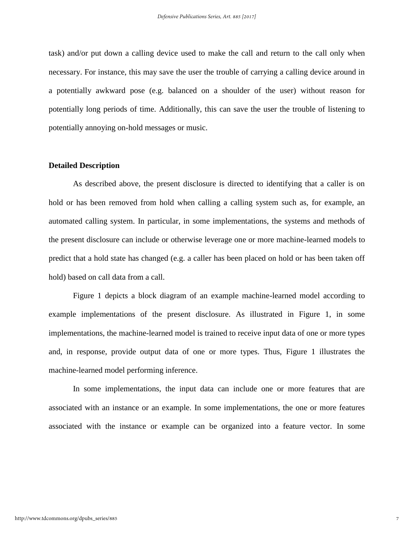task) and/or put down a calling device used to make the call and return to the call only when necessary. For instance, this may save the user the trouble of carrying a calling device around in a potentially awkward pose (e.g. balanced on a shoulder of the user) without reason for potentially long periods of time. Additionally, this can save the user the trouble of listening to potentially annoying on-hold messages or music.

#### **Detailed Description**

As described above, the present disclosure is directed to identifying that a caller is on hold or has been removed from hold when calling a calling system such as, for example, an automated calling system. In particular, in some implementations, the systems and methods of the present disclosure can include or otherwise leverage one or more machine-learned models to predict that a hold state has changed (e.g. a caller has been placed on hold or has been taken off hold) based on call data from a call.

Figure 1 depicts a block diagram of an example machine-learned model according to example implementations of the present disclosure. As illustrated in Figure 1, in some implementations, the machine-learned model is trained to receive input data of one or more types and, in response, provide output data of one or more types. Thus, Figure 1 illustrates the machine-learned model performing inference.

In some implementations, the input data can include one or more features that are associated with an instance or an example. In some implementations, the one or more features associated with the instance or example can be organized into a feature vector. In some

7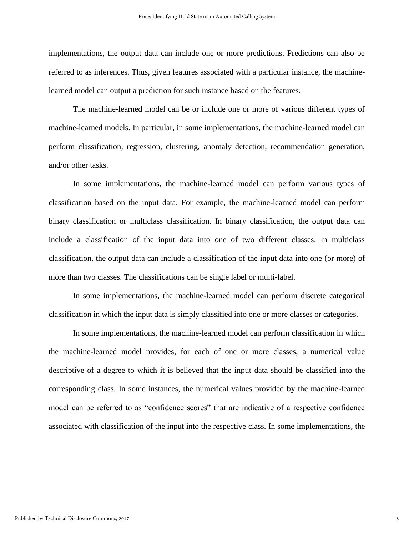implementations, the output data can include one or more predictions. Predictions can also be referred to as inferences. Thus, given features associated with a particular instance, the machinelearned model can output a prediction for such instance based on the features.

The machine-learned model can be or include one or more of various different types of machine-learned models. In particular, in some implementations, the machine-learned model can perform classification, regression, clustering, anomaly detection, recommendation generation, and/or other tasks.

In some implementations, the machine-learned model can perform various types of classification based on the input data. For example, the machine-learned model can perform binary classification or multiclass classification. In binary classification, the output data can include a classification of the input data into one of two different classes. In multiclass classification, the output data can include a classification of the input data into one (or more) of more than two classes. The classifications can be single label or multi-label.

In some implementations, the machine-learned model can perform discrete categorical classification in which the input data is simply classified into one or more classes or categories.

In some implementations, the machine-learned model can perform classification in which the machine-learned model provides, for each of one or more classes, a numerical value descriptive of a degree to which it is believed that the input data should be classified into the corresponding class. In some instances, the numerical values provided by the machine-learned model can be referred to as "confidence scores" that are indicative of a respective confidence associated with classification of the input into the respective class. In some implementations, the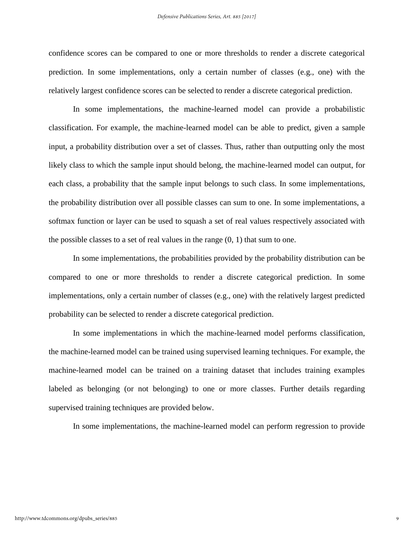confidence scores can be compared to one or more thresholds to render a discrete categorical prediction. In some implementations, only a certain number of classes (e.g., one) with the relatively largest confidence scores can be selected to render a discrete categorical prediction.

In some implementations, the machine-learned model can provide a probabilistic classification. For example, the machine-learned model can be able to predict, given a sample input, a probability distribution over a set of classes. Thus, rather than outputting only the most likely class to which the sample input should belong, the machine-learned model can output, for each class, a probability that the sample input belongs to such class. In some implementations, the probability distribution over all possible classes can sum to one. In some implementations, a softmax function or layer can be used to squash a set of real values respectively associated with the possible classes to a set of real values in the range  $(0, 1)$  that sum to one.

In some implementations, the probabilities provided by the probability distribution can be compared to one or more thresholds to render a discrete categorical prediction. In some implementations, only a certain number of classes (e.g., one) with the relatively largest predicted probability can be selected to render a discrete categorical prediction.

In some implementations in which the machine-learned model performs classification, the machine-learned model can be trained using supervised learning techniques. For example, the machine-learned model can be trained on a training dataset that includes training examples labeled as belonging (or not belonging) to one or more classes. Further details regarding supervised training techniques are provided below.

In some implementations, the machine-learned model can perform regression to provide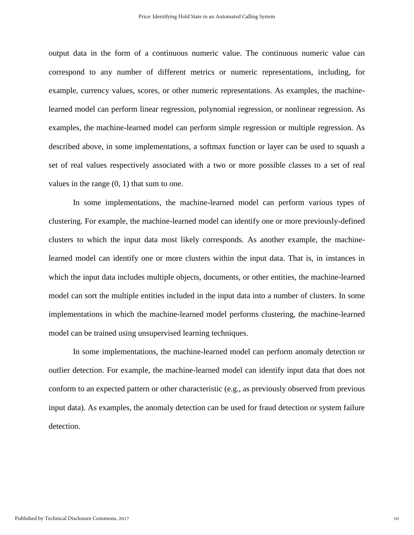output data in the form of a continuous numeric value. The continuous numeric value can correspond to any number of different metrics or numeric representations, including, for example, currency values, scores, or other numeric representations. As examples, the machinelearned model can perform linear regression, polynomial regression, or nonlinear regression. As examples, the machine-learned model can perform simple regression or multiple regression. As described above, in some implementations, a softmax function or layer can be used to squash a set of real values respectively associated with a two or more possible classes to a set of real values in the range (0, 1) that sum to one.

In some implementations, the machine-learned model can perform various types of clustering. For example, the machine-learned model can identify one or more previously-defined clusters to which the input data most likely corresponds. As another example, the machinelearned model can identify one or more clusters within the input data. That is, in instances in which the input data includes multiple objects, documents, or other entities, the machine-learned model can sort the multiple entities included in the input data into a number of clusters. In some implementations in which the machine-learned model performs clustering, the machine-learned model can be trained using unsupervised learning techniques.

In some implementations, the machine-learned model can perform anomaly detection or outlier detection. For example, the machine-learned model can identify input data that does not conform to an expected pattern or other characteristic (e.g., as previously observed from previous input data). As examples, the anomaly detection can be used for fraud detection or system failure detection.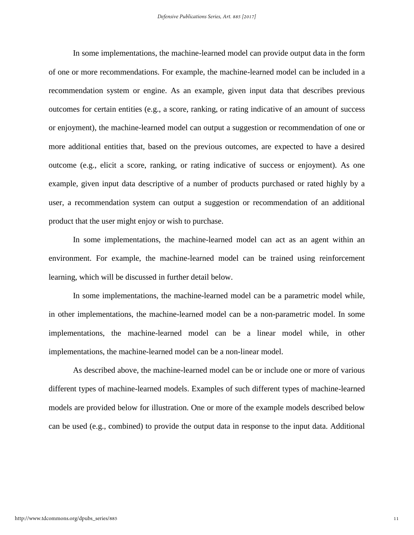In some implementations, the machine-learned model can provide output data in the form of one or more recommendations. For example, the machine-learned model can be included in a recommendation system or engine. As an example, given input data that describes previous outcomes for certain entities (e.g., a score, ranking, or rating indicative of an amount of success or enjoyment), the machine-learned model can output a suggestion or recommendation of one or more additional entities that, based on the previous outcomes, are expected to have a desired outcome (e.g., elicit a score, ranking, or rating indicative of success or enjoyment). As one example, given input data descriptive of a number of products purchased or rated highly by a user, a recommendation system can output a suggestion or recommendation of an additional product that the user might enjoy or wish to purchase.

In some implementations, the machine-learned model can act as an agent within an environment. For example, the machine-learned model can be trained using reinforcement learning, which will be discussed in further detail below.

In some implementations, the machine-learned model can be a parametric model while, in other implementations, the machine-learned model can be a non-parametric model. In some implementations, the machine-learned model can be a linear model while, in other implementations, the machine-learned model can be a non-linear model.

As described above, the machine-learned model can be or include one or more of various different types of machine-learned models. Examples of such different types of machine-learned models are provided below for illustration. One or more of the example models described below can be used (e.g., combined) to provide the output data in response to the input data. Additional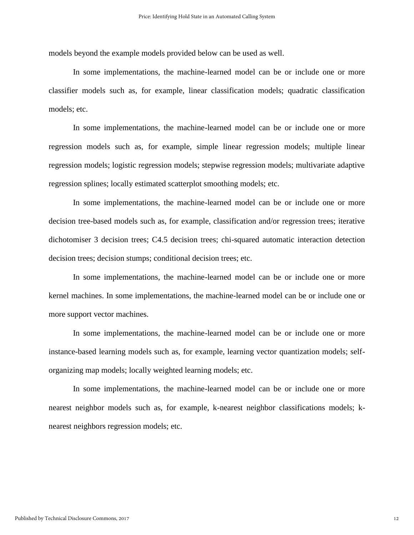models beyond the example models provided below can be used as well.

In some implementations, the machine-learned model can be or include one or more classifier models such as, for example, linear classification models; quadratic classification models; etc.

In some implementations, the machine-learned model can be or include one or more regression models such as, for example, simple linear regression models; multiple linear regression models; logistic regression models; stepwise regression models; multivariate adaptive regression splines; locally estimated scatterplot smoothing models; etc.

In some implementations, the machine-learned model can be or include one or more decision tree-based models such as, for example, classification and/or regression trees; iterative dichotomiser 3 decision trees; C4.5 decision trees; chi-squared automatic interaction detection decision trees; decision stumps; conditional decision trees; etc.

In some implementations, the machine-learned model can be or include one or more kernel machines. In some implementations, the machine-learned model can be or include one or more support vector machines.

In some implementations, the machine-learned model can be or include one or more instance-based learning models such as, for example, learning vector quantization models; selforganizing map models; locally weighted learning models; etc.

In some implementations, the machine-learned model can be or include one or more nearest neighbor models such as, for example, k-nearest neighbor classifications models; knearest neighbors regression models; etc.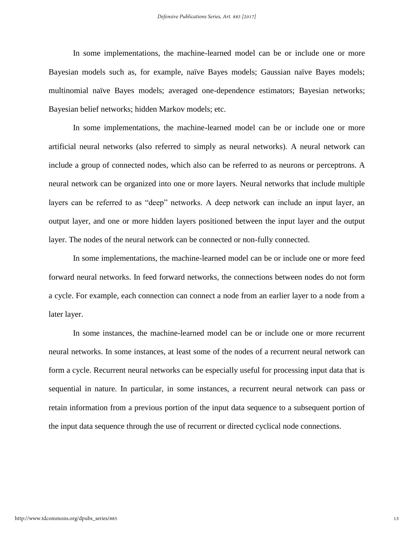In some implementations, the machine-learned model can be or include one or more Bayesian models such as, for example, naïve Bayes models; Gaussian naïve Bayes models; multinomial naïve Bayes models; averaged one-dependence estimators; Bayesian networks; Bayesian belief networks; hidden Markov models; etc.

In some implementations, the machine-learned model can be or include one or more artificial neural networks (also referred to simply as neural networks). A neural network can include a group of connected nodes, which also can be referred to as neurons or perceptrons. A neural network can be organized into one or more layers. Neural networks that include multiple layers can be referred to as "deep" networks. A deep network can include an input layer, an output layer, and one or more hidden layers positioned between the input layer and the output layer. The nodes of the neural network can be connected or non-fully connected.

In some implementations, the machine-learned model can be or include one or more feed forward neural networks. In feed forward networks, the connections between nodes do not form a cycle. For example, each connection can connect a node from an earlier layer to a node from a later layer.

In some instances, the machine-learned model can be or include one or more recurrent neural networks. In some instances, at least some of the nodes of a recurrent neural network can form a cycle. Recurrent neural networks can be especially useful for processing input data that is sequential in nature. In particular, in some instances, a recurrent neural network can pass or retain information from a previous portion of the input data sequence to a subsequent portion of the input data sequence through the use of recurrent or directed cyclical node connections.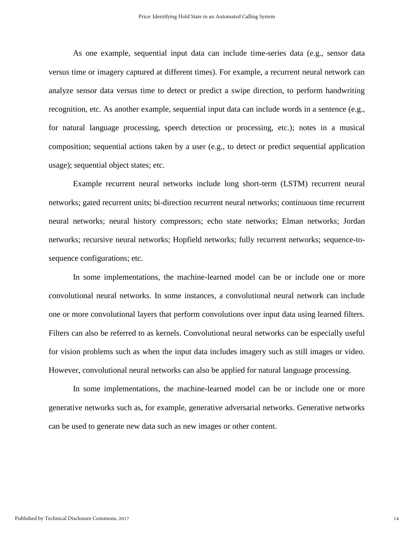As one example, sequential input data can include time-series data (e.g., sensor data versus time or imagery captured at different times). For example, a recurrent neural network can analyze sensor data versus time to detect or predict a swipe direction, to perform handwriting recognition, etc. As another example, sequential input data can include words in a sentence (e.g., for natural language processing, speech detection or processing, etc.); notes in a musical composition; sequential actions taken by a user (e.g., to detect or predict sequential application usage); sequential object states; etc.

Example recurrent neural networks include long short-term (LSTM) recurrent neural networks; gated recurrent units; bi-direction recurrent neural networks; continuous time recurrent neural networks; neural history compressors; echo state networks; Elman networks; Jordan networks; recursive neural networks; Hopfield networks; fully recurrent networks; sequence-tosequence configurations; etc.

In some implementations, the machine-learned model can be or include one or more convolutional neural networks. In some instances, a convolutional neural network can include one or more convolutional layers that perform convolutions over input data using learned filters. Filters can also be referred to as kernels. Convolutional neural networks can be especially useful for vision problems such as when the input data includes imagery such as still images or video. However, convolutional neural networks can also be applied for natural language processing.

In some implementations, the machine-learned model can be or include one or more generative networks such as, for example, generative adversarial networks. Generative networks can be used to generate new data such as new images or other content.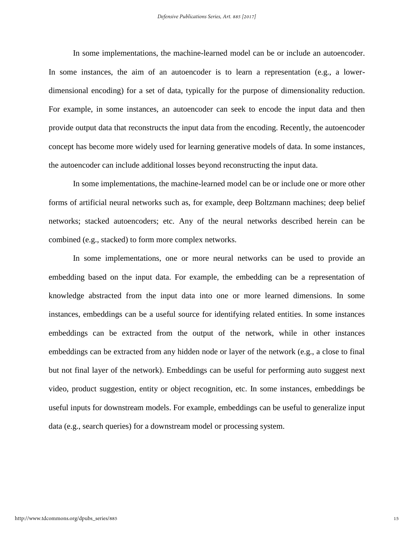In some implementations, the machine-learned model can be or include an autoencoder. In some instances, the aim of an autoencoder is to learn a representation (e.g., a lowerdimensional encoding) for a set of data, typically for the purpose of dimensionality reduction. For example, in some instances, an autoencoder can seek to encode the input data and then provide output data that reconstructs the input data from the encoding. Recently, the autoencoder concept has become more widely used for learning generative models of data. In some instances, the autoencoder can include additional losses beyond reconstructing the input data.

In some implementations, the machine-learned model can be or include one or more other forms of artificial neural networks such as, for example, deep Boltzmann machines; deep belief networks; stacked autoencoders; etc. Any of the neural networks described herein can be combined (e.g., stacked) to form more complex networks.

In some implementations, one or more neural networks can be used to provide an embedding based on the input data. For example, the embedding can be a representation of knowledge abstracted from the input data into one or more learned dimensions. In some instances, embeddings can be a useful source for identifying related entities. In some instances embeddings can be extracted from the output of the network, while in other instances embeddings can be extracted from any hidden node or layer of the network (e.g., a close to final but not final layer of the network). Embeddings can be useful for performing auto suggest next video, product suggestion, entity or object recognition, etc. In some instances, embeddings be useful inputs for downstream models. For example, embeddings can be useful to generalize input data (e.g., search queries) for a downstream model or processing system.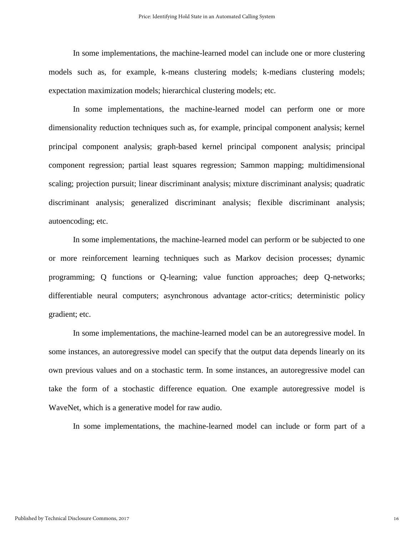In some implementations, the machine-learned model can include one or more clustering models such as, for example, k-means clustering models; k-medians clustering models; expectation maximization models; hierarchical clustering models; etc.

In some implementations, the machine-learned model can perform one or more dimensionality reduction techniques such as, for example, principal component analysis; kernel principal component analysis; graph-based kernel principal component analysis; principal component regression; partial least squares regression; Sammon mapping; multidimensional scaling; projection pursuit; linear discriminant analysis; mixture discriminant analysis; quadratic discriminant analysis; generalized discriminant analysis; flexible discriminant analysis; autoencoding; etc.

In some implementations, the machine-learned model can perform or be subjected to one or more reinforcement learning techniques such as Markov decision processes; dynamic programming; Q functions or Q-learning; value function approaches; deep Q-networks; differentiable neural computers; asynchronous advantage actor-critics; deterministic policy gradient; etc.

In some implementations, the machine-learned model can be an autoregressive model. In some instances, an autoregressive model can specify that the output data depends linearly on its own previous values and on a stochastic term. In some instances, an autoregressive model can take the form of a stochastic difference equation. One example autoregressive model is WaveNet, which is a generative model for raw audio.

In some implementations, the machine-learned model can include or form part of a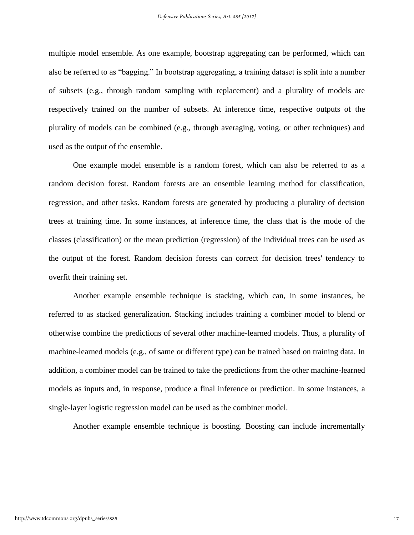multiple model ensemble. As one example, bootstrap aggregating can be performed, which can also be referred to as "bagging." In bootstrap aggregating, a training dataset is split into a number of subsets (e.g., through random sampling with replacement) and a plurality of models are respectively trained on the number of subsets. At inference time, respective outputs of the plurality of models can be combined (e.g., through averaging, voting, or other techniques) and used as the output of the ensemble.

One example model ensemble is a random forest, which can also be referred to as a random decision forest. Random forests are an ensemble learning method for classification, regression, and other tasks. Random forests are generated by producing a plurality of decision trees at training time. In some instances, at inference time, the class that is the mode of the classes (classification) or the mean prediction (regression) of the individual trees can be used as the output of the forest. Random decision forests can correct for decision trees' tendency to overfit their training set.

Another example ensemble technique is stacking, which can, in some instances, be referred to as stacked generalization. Stacking includes training a combiner model to blend or otherwise combine the predictions of several other machine-learned models. Thus, a plurality of machine-learned models (e.g., of same or different type) can be trained based on training data. In addition, a combiner model can be trained to take the predictions from the other machine-learned models as inputs and, in response, produce a final inference or prediction. In some instances, a single-layer logistic regression model can be used as the combiner model.

Another example ensemble technique is boosting. Boosting can include incrementally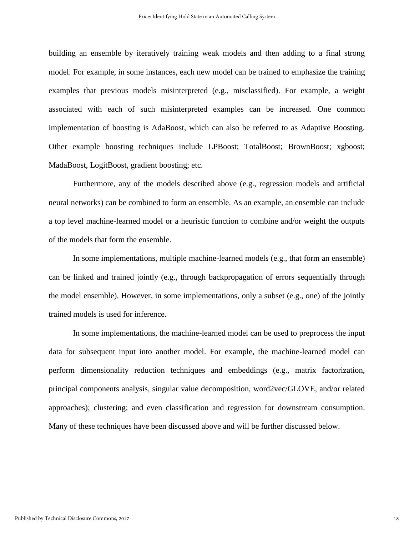building an ensemble by iteratively training weak models and then adding to a final strong model. For example, in some instances, each new model can be trained to emphasize the training examples that previous models misinterpreted (e.g., misclassified). For example, a weight associated with each of such misinterpreted examples can be increased. One common implementation of boosting is AdaBoost, which can also be referred to as Adaptive Boosting. Other example boosting techniques include LPBoost; TotalBoost; BrownBoost; xgboost; MadaBoost, LogitBoost, gradient boosting; etc.

Furthermore, any of the models described above (e.g., regression models and artificial neural networks) can be combined to form an ensemble. As an example, an ensemble can include a top level machine-learned model or a heuristic function to combine and/or weight the outputs of the models that form the ensemble.

In some implementations, multiple machine-learned models (e.g., that form an ensemble) can be linked and trained jointly (e.g., through backpropagation of errors sequentially through the model ensemble). However, in some implementations, only a subset (e.g., one) of the jointly trained models is used for inference.

In some implementations, the machine-learned model can be used to preprocess the input data for subsequent input into another model. For example, the machine-learned model can perform dimensionality reduction techniques and embeddings (e.g., matrix factorization, principal components analysis, singular value decomposition, word2vec/GLOVE, and/or related approaches); clustering; and even classification and regression for downstream consumption. Many of these techniques have been discussed above and will be further discussed below.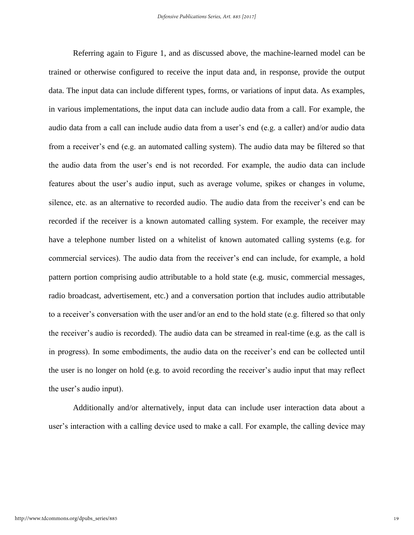Referring again to Figure 1, and as discussed above, the machine-learned model can be trained or otherwise configured to receive the input data and, in response, provide the output data. The input data can include different types, forms, or variations of input data. As examples, in various implementations, the input data can include audio data from a call. For example, the audio data from a call can include audio data from a user's end (e.g. a caller) and/or audio data from a receiver's end (e.g. an automated calling system). The audio data may be filtered so that the audio data from the user's end is not recorded. For example, the audio data can include features about the user's audio input, such as average volume, spikes or changes in volume, silence, etc. as an alternative to recorded audio. The audio data from the receiver's end can be recorded if the receiver is a known automated calling system. For example, the receiver may have a telephone number listed on a whitelist of known automated calling systems (e.g. for commercial services). The audio data from the receiver's end can include, for example, a hold pattern portion comprising audio attributable to a hold state (e.g. music, commercial messages, radio broadcast, advertisement, etc.) and a conversation portion that includes audio attributable to a receiver's conversation with the user and/or an end to the hold state (e.g. filtered so that only the receiver's audio is recorded). The audio data can be streamed in real-time (e.g. as the call is in progress). In some embodiments, the audio data on the receiver's end can be collected until the user is no longer on hold (e.g. to avoid recording the receiver's audio input that may reflect the user's audio input).

Additionally and/or alternatively, input data can include user interaction data about a user's interaction with a calling device used to make a call. For example, the calling device may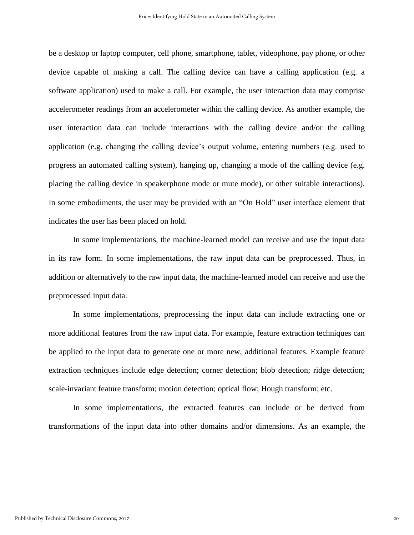be a desktop or laptop computer, cell phone, smartphone, tablet, videophone, pay phone, or other device capable of making a call. The calling device can have a calling application (e.g. a software application) used to make a call. For example, the user interaction data may comprise accelerometer readings from an accelerometer within the calling device. As another example, the user interaction data can include interactions with the calling device and/or the calling application (e.g. changing the calling device's output volume, entering numbers (e.g. used to progress an automated calling system), hanging up, changing a mode of the calling device (e.g. placing the calling device in speakerphone mode or mute mode), or other suitable interactions). In some embodiments, the user may be provided with an "On Hold" user interface element that indicates the user has been placed on hold.

In some implementations, the machine-learned model can receive and use the input data in its raw form. In some implementations, the raw input data can be preprocessed. Thus, in addition or alternatively to the raw input data, the machine-learned model can receive and use the preprocessed input data.

In some implementations, preprocessing the input data can include extracting one or more additional features from the raw input data. For example, feature extraction techniques can be applied to the input data to generate one or more new, additional features. Example feature extraction techniques include edge detection; corner detection; blob detection; ridge detection; scale-invariant feature transform; motion detection; optical flow; Hough transform; etc.

In some implementations, the extracted features can include or be derived from transformations of the input data into other domains and/or dimensions. As an example, the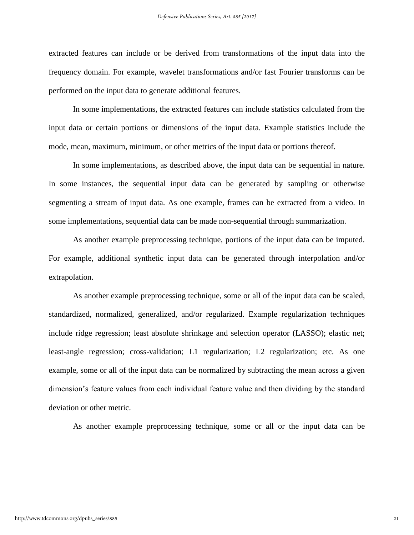extracted features can include or be derived from transformations of the input data into the frequency domain. For example, wavelet transformations and/or fast Fourier transforms can be performed on the input data to generate additional features.

In some implementations, the extracted features can include statistics calculated from the input data or certain portions or dimensions of the input data. Example statistics include the mode, mean, maximum, minimum, or other metrics of the input data or portions thereof.

In some implementations, as described above, the input data can be sequential in nature. In some instances, the sequential input data can be generated by sampling or otherwise segmenting a stream of input data. As one example, frames can be extracted from a video. In some implementations, sequential data can be made non-sequential through summarization.

As another example preprocessing technique, portions of the input data can be imputed. For example, additional synthetic input data can be generated through interpolation and/or extrapolation.

As another example preprocessing technique, some or all of the input data can be scaled, standardized, normalized, generalized, and/or regularized. Example regularization techniques include ridge regression; least absolute shrinkage and selection operator (LASSO); elastic net; least-angle regression; cross-validation; L1 regularization; L2 regularization; etc. As one example, some or all of the input data can be normalized by subtracting the mean across a given dimension's feature values from each individual feature value and then dividing by the standard deviation or other metric.

As another example preprocessing technique, some or all or the input data can be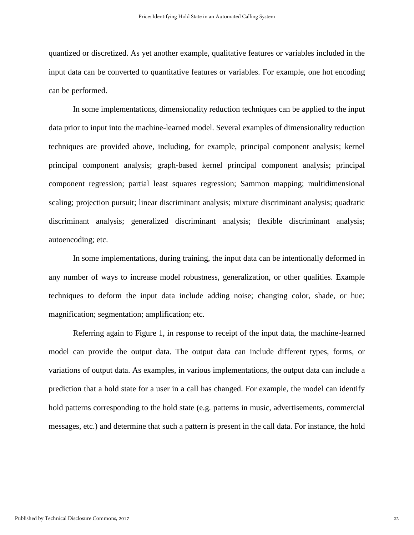quantized or discretized. As yet another example, qualitative features or variables included in the input data can be converted to quantitative features or variables. For example, one hot encoding can be performed.

In some implementations, dimensionality reduction techniques can be applied to the input data prior to input into the machine-learned model. Several examples of dimensionality reduction techniques are provided above, including, for example, principal component analysis; kernel principal component analysis; graph-based kernel principal component analysis; principal component regression; partial least squares regression; Sammon mapping; multidimensional scaling; projection pursuit; linear discriminant analysis; mixture discriminant analysis; quadratic discriminant analysis; generalized discriminant analysis; flexible discriminant analysis; autoencoding; etc.

In some implementations, during training, the input data can be intentionally deformed in any number of ways to increase model robustness, generalization, or other qualities. Example techniques to deform the input data include adding noise; changing color, shade, or hue; magnification; segmentation; amplification; etc.

Referring again to Figure 1, in response to receipt of the input data, the machine-learned model can provide the output data. The output data can include different types, forms, or variations of output data. As examples, in various implementations, the output data can include a prediction that a hold state for a user in a call has changed. For example, the model can identify hold patterns corresponding to the hold state (e.g. patterns in music, advertisements, commercial messages, etc.) and determine that such a pattern is present in the call data. For instance, the hold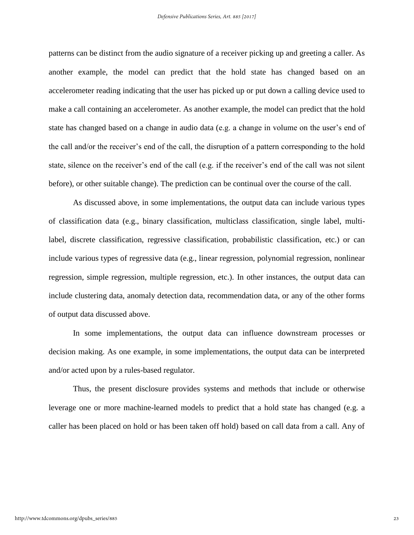patterns can be distinct from the audio signature of a receiver picking up and greeting a caller. As another example, the model can predict that the hold state has changed based on an accelerometer reading indicating that the user has picked up or put down a calling device used to make a call containing an accelerometer. As another example, the model can predict that the hold state has changed based on a change in audio data (e.g. a change in volume on the user's end of the call and/or the receiver's end of the call, the disruption of a pattern corresponding to the hold state, silence on the receiver's end of the call (e.g. if the receiver's end of the call was not silent before), or other suitable change). The prediction can be continual over the course of the call.

As discussed above, in some implementations, the output data can include various types of classification data (e.g., binary classification, multiclass classification, single label, multilabel, discrete classification, regressive classification, probabilistic classification, etc.) or can include various types of regressive data (e.g., linear regression, polynomial regression, nonlinear regression, simple regression, multiple regression, etc.). In other instances, the output data can include clustering data, anomaly detection data, recommendation data, or any of the other forms of output data discussed above.

In some implementations, the output data can influence downstream processes or decision making. As one example, in some implementations, the output data can be interpreted and/or acted upon by a rules-based regulator.

Thus, the present disclosure provides systems and methods that include or otherwise leverage one or more machine-learned models to predict that a hold state has changed (e.g. a caller has been placed on hold or has been taken off hold) based on call data from a call. Any of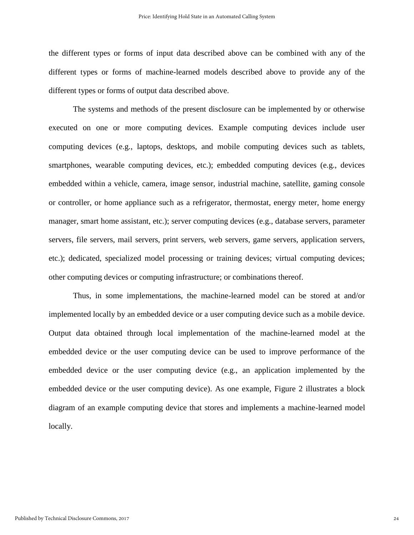the different types or forms of input data described above can be combined with any of the different types or forms of machine-learned models described above to provide any of the different types or forms of output data described above.

The systems and methods of the present disclosure can be implemented by or otherwise executed on one or more computing devices. Example computing devices include user computing devices (e.g., laptops, desktops, and mobile computing devices such as tablets, smartphones, wearable computing devices, etc.); embedded computing devices (e.g., devices embedded within a vehicle, camera, image sensor, industrial machine, satellite, gaming console or controller, or home appliance such as a refrigerator, thermostat, energy meter, home energy manager, smart home assistant, etc.); server computing devices (e.g., database servers, parameter servers, file servers, mail servers, print servers, web servers, game servers, application servers, etc.); dedicated, specialized model processing or training devices; virtual computing devices; other computing devices or computing infrastructure; or combinations thereof.

Thus, in some implementations, the machine-learned model can be stored at and/or implemented locally by an embedded device or a user computing device such as a mobile device. Output data obtained through local implementation of the machine-learned model at the embedded device or the user computing device can be used to improve performance of the embedded device or the user computing device (e.g., an application implemented by the embedded device or the user computing device). As one example, Figure 2 illustrates a block diagram of an example computing device that stores and implements a machine-learned model locally.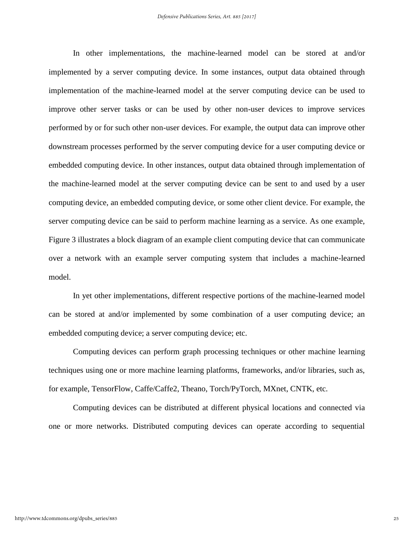In other implementations, the machine-learned model can be stored at and/or implemented by a server computing device. In some instances, output data obtained through implementation of the machine-learned model at the server computing device can be used to improve other server tasks or can be used by other non-user devices to improve services performed by or for such other non-user devices. For example, the output data can improve other downstream processes performed by the server computing device for a user computing device or embedded computing device. In other instances, output data obtained through implementation of the machine-learned model at the server computing device can be sent to and used by a user computing device, an embedded computing device, or some other client device. For example, the server computing device can be said to perform machine learning as a service. As one example, Figure 3 illustrates a block diagram of an example client computing device that can communicate over a network with an example server computing system that includes a machine-learned model.

In yet other implementations, different respective portions of the machine-learned model can be stored at and/or implemented by some combination of a user computing device; an embedded computing device; a server computing device; etc.

Computing devices can perform graph processing techniques or other machine learning techniques using one or more machine learning platforms, frameworks, and/or libraries, such as, for example, TensorFlow, Caffe/Caffe2, Theano, Torch/PyTorch, MXnet, CNTK, etc.

Computing devices can be distributed at different physical locations and connected via one or more networks. Distributed computing devices can operate according to sequential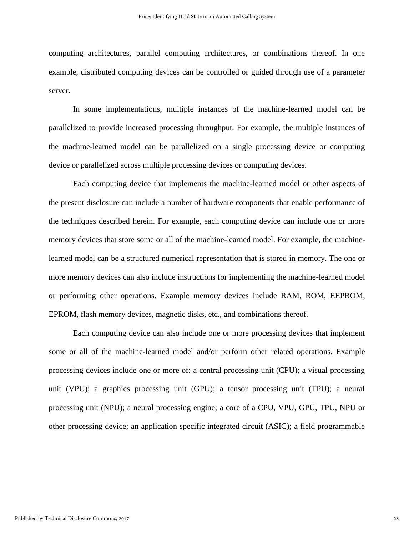computing architectures, parallel computing architectures, or combinations thereof. In one example, distributed computing devices can be controlled or guided through use of a parameter server.

In some implementations, multiple instances of the machine-learned model can be parallelized to provide increased processing throughput. For example, the multiple instances of the machine-learned model can be parallelized on a single processing device or computing device or parallelized across multiple processing devices or computing devices.

Each computing device that implements the machine-learned model or other aspects of the present disclosure can include a number of hardware components that enable performance of the techniques described herein. For example, each computing device can include one or more memory devices that store some or all of the machine-learned model. For example, the machinelearned model can be a structured numerical representation that is stored in memory. The one or more memory devices can also include instructions for implementing the machine-learned model or performing other operations. Example memory devices include RAM, ROM, EEPROM, EPROM, flash memory devices, magnetic disks, etc., and combinations thereof.

Each computing device can also include one or more processing devices that implement some or all of the machine-learned model and/or perform other related operations. Example processing devices include one or more of: a central processing unit (CPU); a visual processing unit (VPU); a graphics processing unit (GPU); a tensor processing unit (TPU); a neural processing unit (NPU); a neural processing engine; a core of a CPU, VPU, GPU, TPU, NPU or other processing device; an application specific integrated circuit (ASIC); a field programmable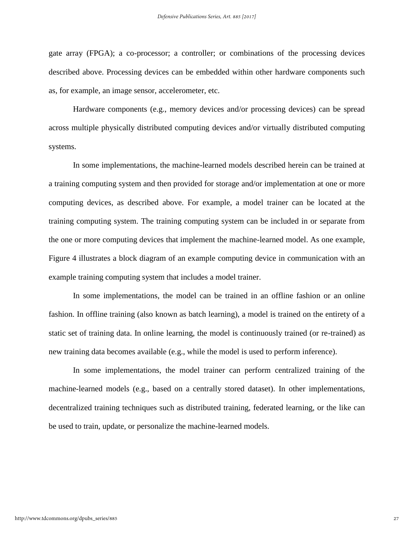gate array (FPGA); a co-processor; a controller; or combinations of the processing devices described above. Processing devices can be embedded within other hardware components such as, for example, an image sensor, accelerometer, etc.

Hardware components (e.g., memory devices and/or processing devices) can be spread across multiple physically distributed computing devices and/or virtually distributed computing systems.

In some implementations, the machine-learned models described herein can be trained at a training computing system and then provided for storage and/or implementation at one or more computing devices, as described above. For example, a model trainer can be located at the training computing system. The training computing system can be included in or separate from the one or more computing devices that implement the machine-learned model. As one example, Figure 4 illustrates a block diagram of an example computing device in communication with an example training computing system that includes a model trainer.

In some implementations, the model can be trained in an offline fashion or an online fashion. In offline training (also known as batch learning), a model is trained on the entirety of a static set of training data. In online learning, the model is continuously trained (or re-trained) as new training data becomes available (e.g., while the model is used to perform inference).

In some implementations, the model trainer can perform centralized training of the machine-learned models (e.g., based on a centrally stored dataset). In other implementations, decentralized training techniques such as distributed training, federated learning, or the like can be used to train, update, or personalize the machine-learned models.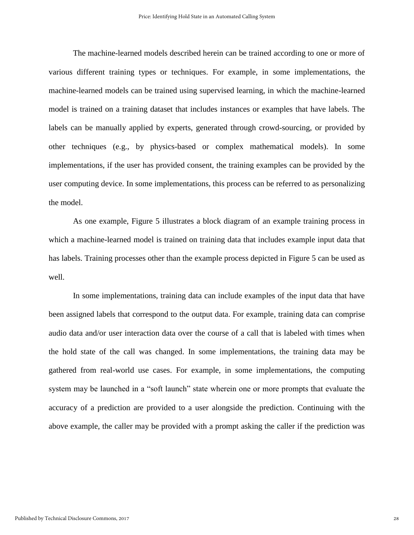The machine-learned models described herein can be trained according to one or more of various different training types or techniques. For example, in some implementations, the machine-learned models can be trained using supervised learning, in which the machine-learned model is trained on a training dataset that includes instances or examples that have labels. The labels can be manually applied by experts, generated through crowd-sourcing, or provided by other techniques (e.g., by physics-based or complex mathematical models). In some implementations, if the user has provided consent, the training examples can be provided by the user computing device. In some implementations, this process can be referred to as personalizing the model.

As one example, Figure 5 illustrates a block diagram of an example training process in which a machine-learned model is trained on training data that includes example input data that has labels. Training processes other than the example process depicted in Figure 5 can be used as well.

In some implementations, training data can include examples of the input data that have been assigned labels that correspond to the output data. For example, training data can comprise audio data and/or user interaction data over the course of a call that is labeled with times when the hold state of the call was changed. In some implementations, the training data may be gathered from real-world use cases. For example, in some implementations, the computing system may be launched in a "soft launch" state wherein one or more prompts that evaluate the accuracy of a prediction are provided to a user alongside the prediction. Continuing with the above example, the caller may be provided with a prompt asking the caller if the prediction was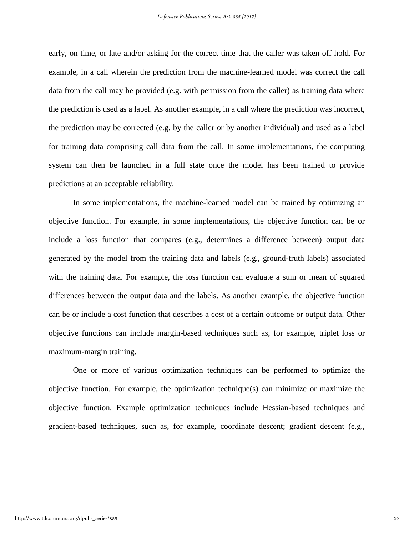early, on time, or late and/or asking for the correct time that the caller was taken off hold. For example, in a call wherein the prediction from the machine-learned model was correct the call data from the call may be provided (e.g. with permission from the caller) as training data where the prediction is used as a label. As another example, in a call where the prediction was incorrect, the prediction may be corrected (e.g. by the caller or by another individual) and used as a label for training data comprising call data from the call. In some implementations, the computing system can then be launched in a full state once the model has been trained to provide predictions at an acceptable reliability.

In some implementations, the machine-learned model can be trained by optimizing an objective function. For example, in some implementations, the objective function can be or include a loss function that compares (e.g., determines a difference between) output data generated by the model from the training data and labels (e.g., ground-truth labels) associated with the training data. For example, the loss function can evaluate a sum or mean of squared differences between the output data and the labels. As another example, the objective function can be or include a cost function that describes a cost of a certain outcome or output data. Other objective functions can include margin-based techniques such as, for example, triplet loss or maximum-margin training.

One or more of various optimization techniques can be performed to optimize the objective function. For example, the optimization technique(s) can minimize or maximize the objective function. Example optimization techniques include Hessian-based techniques and gradient-based techniques, such as, for example, coordinate descent; gradient descent (e.g.,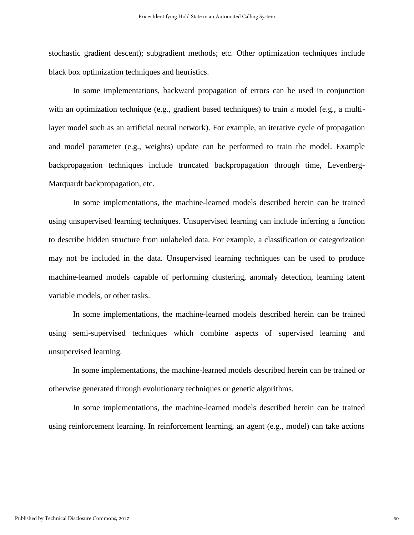stochastic gradient descent); subgradient methods; etc. Other optimization techniques include black box optimization techniques and heuristics.

In some implementations, backward propagation of errors can be used in conjunction with an optimization technique (e.g., gradient based techniques) to train a model (e.g., a multilayer model such as an artificial neural network). For example, an iterative cycle of propagation and model parameter (e.g., weights) update can be performed to train the model. Example backpropagation techniques include truncated backpropagation through time, Levenberg-Marquardt backpropagation, etc.

In some implementations, the machine-learned models described herein can be trained using unsupervised learning techniques. Unsupervised learning can include inferring a function to describe hidden structure from unlabeled data. For example, a classification or categorization may not be included in the data. Unsupervised learning techniques can be used to produce machine-learned models capable of performing clustering, anomaly detection, learning latent variable models, or other tasks.

In some implementations, the machine-learned models described herein can be trained using semi-supervised techniques which combine aspects of supervised learning and unsupervised learning.

In some implementations, the machine-learned models described herein can be trained or otherwise generated through evolutionary techniques or genetic algorithms.

In some implementations, the machine-learned models described herein can be trained using reinforcement learning. In reinforcement learning, an agent (e.g., model) can take actions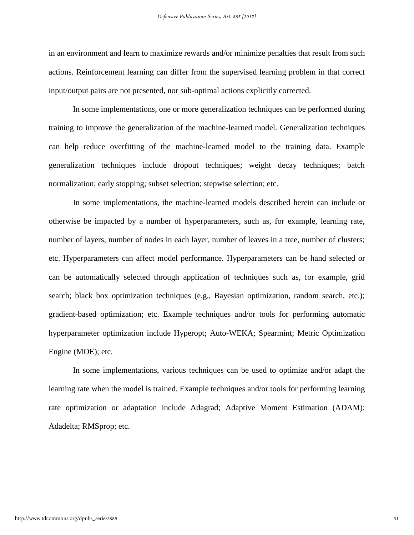in an environment and learn to maximize rewards and/or minimize penalties that result from such actions. Reinforcement learning can differ from the supervised learning problem in that correct input/output pairs are not presented, nor sub-optimal actions explicitly corrected.

In some implementations, one or more generalization techniques can be performed during training to improve the generalization of the machine-learned model. Generalization techniques can help reduce overfitting of the machine-learned model to the training data. Example generalization techniques include dropout techniques; weight decay techniques; batch normalization; early stopping; subset selection; stepwise selection; etc.

In some implementations, the machine-learned models described herein can include or otherwise be impacted by a number of hyperparameters, such as, for example, learning rate, number of layers, number of nodes in each layer, number of leaves in a tree, number of clusters; etc. Hyperparameters can affect model performance. Hyperparameters can be hand selected or can be automatically selected through application of techniques such as, for example, grid search; black box optimization techniques (e.g., Bayesian optimization, random search, etc.); gradient-based optimization; etc. Example techniques and/or tools for performing automatic hyperparameter optimization include Hyperopt; Auto-WEKA; Spearmint; Metric Optimization Engine (MOE); etc.

In some implementations, various techniques can be used to optimize and/or adapt the learning rate when the model is trained. Example techniques and/or tools for performing learning rate optimization or adaptation include Adagrad; Adaptive Moment Estimation (ADAM); Adadelta; RMSprop; etc.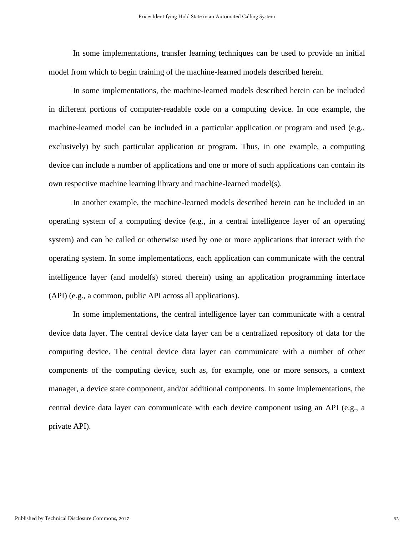In some implementations, transfer learning techniques can be used to provide an initial model from which to begin training of the machine-learned models described herein.

In some implementations, the machine-learned models described herein can be included in different portions of computer-readable code on a computing device. In one example, the machine-learned model can be included in a particular application or program and used (e.g., exclusively) by such particular application or program. Thus, in one example, a computing device can include a number of applications and one or more of such applications can contain its own respective machine learning library and machine-learned model(s).

In another example, the machine-learned models described herein can be included in an operating system of a computing device (e.g., in a central intelligence layer of an operating system) and can be called or otherwise used by one or more applications that interact with the operating system. In some implementations, each application can communicate with the central intelligence layer (and model(s) stored therein) using an application programming interface (API) (e.g., a common, public API across all applications).

In some implementations, the central intelligence layer can communicate with a central device data layer. The central device data layer can be a centralized repository of data for the computing device. The central device data layer can communicate with a number of other components of the computing device, such as, for example, one or more sensors, a context manager, a device state component, and/or additional components. In some implementations, the central device data layer can communicate with each device component using an API (e.g., a private API).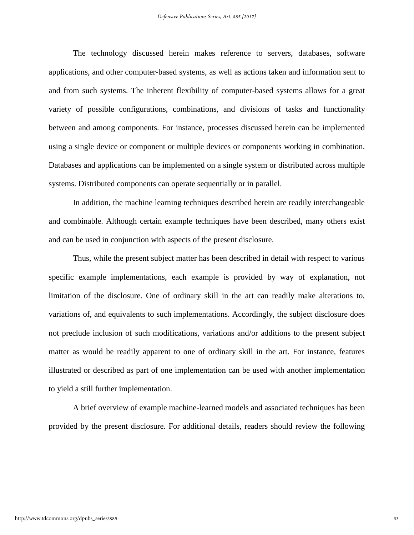The technology discussed herein makes reference to servers, databases, software applications, and other computer-based systems, as well as actions taken and information sent to and from such systems. The inherent flexibility of computer-based systems allows for a great variety of possible configurations, combinations, and divisions of tasks and functionality between and among components. For instance, processes discussed herein can be implemented using a single device or component or multiple devices or components working in combination. Databases and applications can be implemented on a single system or distributed across multiple systems. Distributed components can operate sequentially or in parallel.

In addition, the machine learning techniques described herein are readily interchangeable and combinable. Although certain example techniques have been described, many others exist and can be used in conjunction with aspects of the present disclosure.

Thus, while the present subject matter has been described in detail with respect to various specific example implementations, each example is provided by way of explanation, not limitation of the disclosure. One of ordinary skill in the art can readily make alterations to, variations of, and equivalents to such implementations. Accordingly, the subject disclosure does not preclude inclusion of such modifications, variations and/or additions to the present subject matter as would be readily apparent to one of ordinary skill in the art. For instance, features illustrated or described as part of one implementation can be used with another implementation to yield a still further implementation.

A brief overview of example machine-learned models and associated techniques has been provided by the present disclosure. For additional details, readers should review the following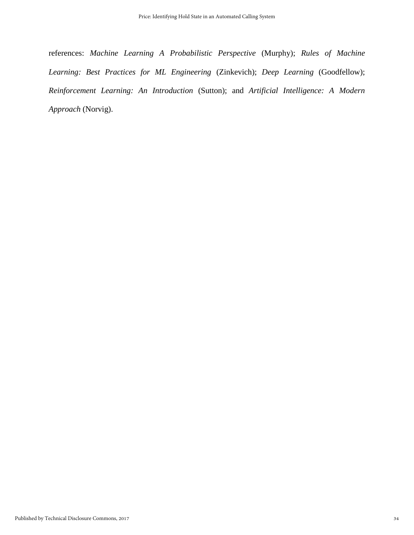references: *Machine Learning A Probabilistic Perspective* (Murphy); *Rules of Machine Learning: Best Practices for ML Engineering* (Zinkevich); *Deep Learning* (Goodfellow); *Reinforcement Learning: An Introduction* (Sutton); and *Artificial Intelligence: A Modern Approach* (Norvig).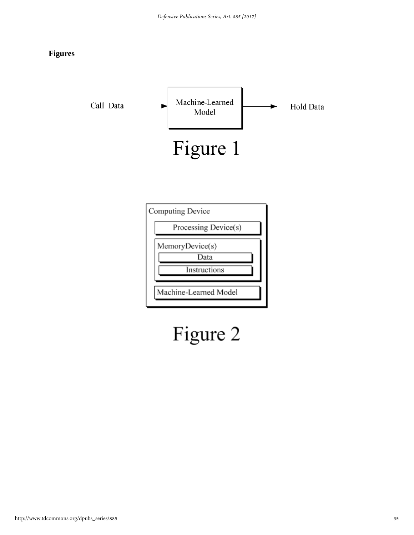#### **Figures**



# Figure 2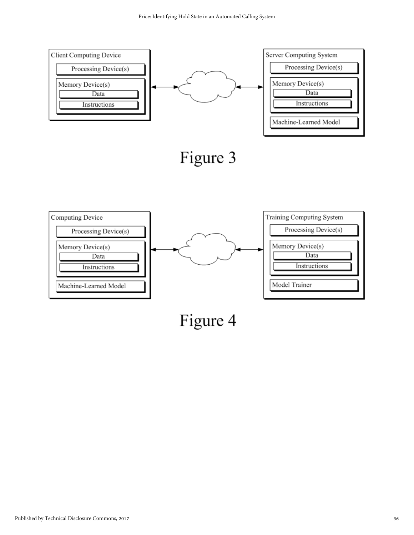



Figure 4